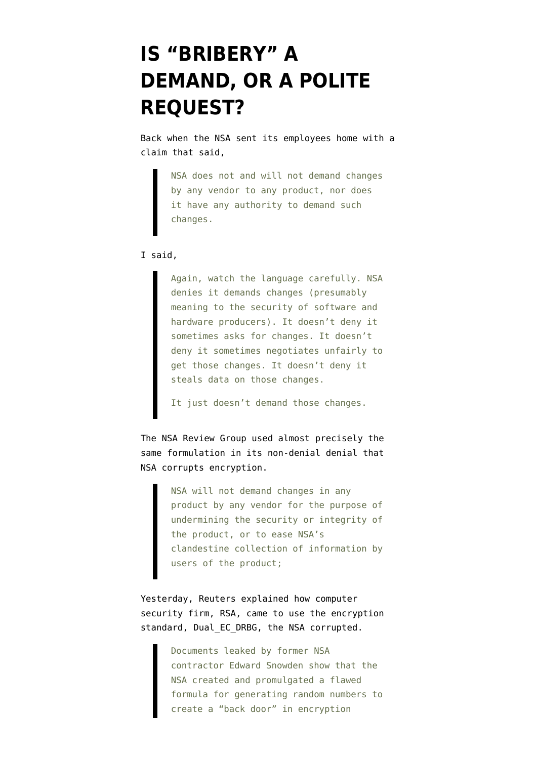## **[IS "BRIBERY" A](https://www.emptywheel.net/2013/12/21/is-bribery-a-demand-or-a-polite-request/) [DEMAND, OR A POLITE](https://www.emptywheel.net/2013/12/21/is-bribery-a-demand-or-a-polite-request/) [REQUEST?](https://www.emptywheel.net/2013/12/21/is-bribery-a-demand-or-a-polite-request/)**

Back when the NSA [sent its employees home](https://www.documentcloud.org/documents/844508-nsas-talking-points-for-holiday-gatherings.html) with a claim that said,

> NSA does not and will not demand changes by any vendor to any product, nor does it have any authority to demand such changes.

## I [said](http://www.emptywheel.net/2013/12/02/nsa-we-steal-industry-secrets-but-not-for-competitive-advantage/),

Again, watch the language carefully. NSA denies it demands changes (presumably meaning to the security of software and hardware producers). It doesn't deny it sometimes asks for changes. It doesn't deny it sometimes negotiates unfairly to get those changes. It doesn't deny it steals data on those changes.

It just doesn't demand those changes.

The [NSA Review Group](http://www.whitehouse.gov/sites/default/files/docs/2013-12-12_rg_final_report.pdf) used almost precisely the same formulation in its [non-denial denial](http://www.emptywheel.net/2013/12/19/the-nsa-review-groups-non-denial-denial-on-encryption/) that NSA corrupts encryption.

> NSA will not demand changes in any product by any vendor for the purpose of undermining the security or integrity of the product, or to ease NSA's clandestine collection of information by users of the product;

Yesterday, Reuters [explained](http://mobile.reuters.com/article/idUSBRE9BJ1C220131220?irpc=932) how computer security firm, RSA, came to use the encryption standard, Dual\_EC\_DRBG, the NSA corrupted.

> Documents leaked by former NSA contractor Edward Snowden show that the NSA created and promulgated a flawed formula for generating random numbers to create a "back door" in encryption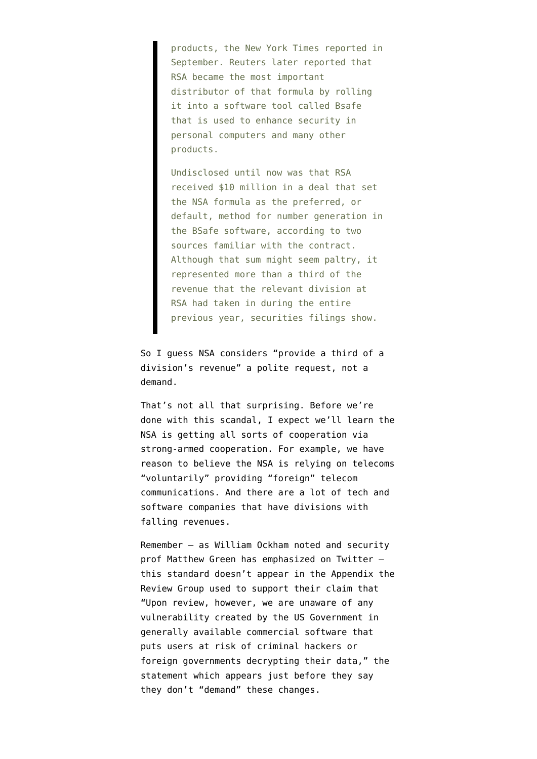products, the New York Times reported in September. Reuters later reported that RSA became the most important distributor of that formula by rolling it into a software tool called Bsafe that is used to enhance security in personal computers and many other products.

Undisclosed until now was that RSA received \$10 million in a deal that set the NSA formula as the preferred, or default, method for number generation in the BSafe software, according to two sources familiar with the contract. Although that sum might seem paltry, it represented more than a third of the revenue that the relevant division at RSA had taken in during the entire previous year, securities filings show.

So I guess NSA considers "provide a third of a division's revenue" a polite request, not a demand.

That's not all that surprising. Before we're done with this scandal, I expect we'll learn the NSA is getting all sorts of cooperation via strong-armed cooperation. For example, [we have](http://www.emptywheel.net/2013/10/01/david-kris-points-to-the-clause-loopholed-under-david-barron-on-metadata-collection/) [reason to believe](http://www.emptywheel.net/2013/10/01/david-kris-points-to-the-clause-loopholed-under-david-barron-on-metadata-collection/) the NSA is relying on telecoms "voluntarily" providing "foreign" telecom communications. And there are a lot of tech and software companies that have divisions with falling revenues.

Remember — as [William Ockham noted](https://twitter.com/WilliamOckhamTx/status/413792811192836097) and security prof Matthew Green [has emphasized](https://twitter.com/matthew_d_green/status/413515584546938882) on Twitter this standard doesn't appear in the Appendix the Review Group used to support their claim that "Upon review, however, we are unaware of any vulnerability created by the US Government in generally available commercial software that puts users at risk of criminal hackers or foreign governments decrypting their data," the statement which appears just before they say they don't "demand" these changes.